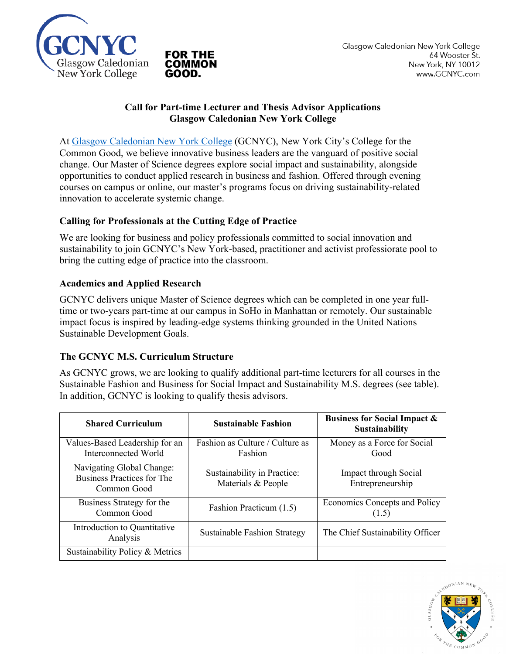

### **Call for Part-time Lecturer and Thesis Advisor Applications Glasgow Caledonian New York College**

At Glasgow Caledonian New York College (GCNYC), New York City's College for the Common Good, we believe innovative business leaders are the vanguard of positive social change. Our Master of Science degrees explore social impact and sustainability, alongside opportunities to conduct applied research in business and fashion. Offered through evening courses on campus or online, our master's programs focus on driving sustainability-related innovation to accelerate systemic change.

# **Calling for Professionals at the Cutting Edge of Practice**

We are looking for business and policy professionals committed to social innovation and sustainability to join GCNYC's New York-based, practitioner and activist professiorate pool to bring the cutting edge of practice into the classroom.

## **Academics and Applied Research**

GCNYC delivers unique Master of Science degrees which can be completed in one year fulltime or two-years part-time at our campus in SoHo in Manhattan or remotely. Our sustainable impact focus is inspired by leading-edge systems thinking grounded in the United Nations Sustainable Development Goals.

#### **The GCNYC M.S. Curriculum Structure**

As GCNYC grows, we are looking to qualify additional part-time lecturers for all courses in the Sustainable Fashion and Business for Social Impact and Sustainability M.S. degrees (see table). In addition, GCNYC is looking to qualify thesis advisors.

| <b>Shared Curriculum</b>                                               | <b>Sustainable Fashion</b>                        | <b>Business for Social Impact &amp;</b><br><b>Sustainability</b> |
|------------------------------------------------------------------------|---------------------------------------------------|------------------------------------------------------------------|
| Values-Based Leadership for an<br>Interconnected World                 | Fashion as Culture / Culture as<br>Fashion        | Money as a Force for Social<br>Good                              |
| Navigating Global Change:<br>Business Practices for The<br>Common Good | Sustainability in Practice:<br>Materials & People | Impact through Social<br>Entrepreneurship                        |
| Business Strategy for the<br>Common Good                               | Fashion Practicum (1.5)                           | Economics Concepts and Policy<br>(1.5)                           |
| Introduction to Quantitative<br>Analysis                               | <b>Sustainable Fashion Strategy</b>               | The Chief Sustainability Officer                                 |
| Sustainability Policy & Metrics                                        |                                                   |                                                                  |